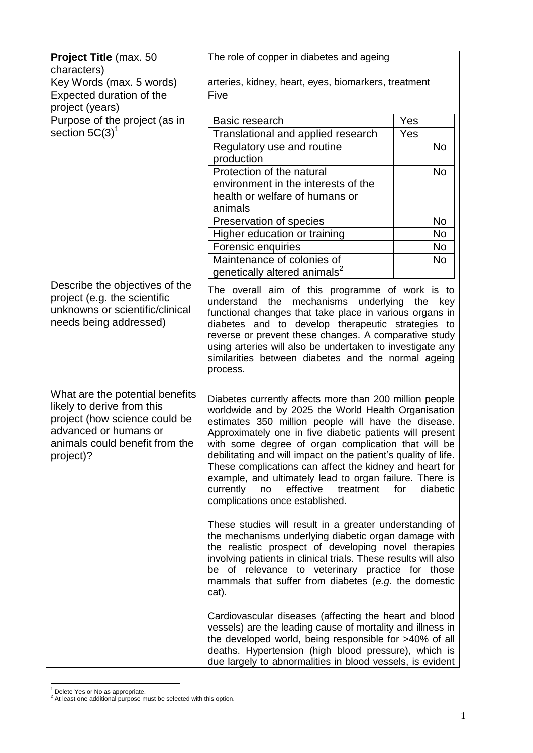| Project Title (max. 50<br>characters)                                                                                                                                  | The role of copper in diabetes and ageing                                                                                                                                                                                                                                                                                                                                                                                                                                                                                                                                           |     |           |
|------------------------------------------------------------------------------------------------------------------------------------------------------------------------|-------------------------------------------------------------------------------------------------------------------------------------------------------------------------------------------------------------------------------------------------------------------------------------------------------------------------------------------------------------------------------------------------------------------------------------------------------------------------------------------------------------------------------------------------------------------------------------|-----|-----------|
| Key Words (max. 5 words)                                                                                                                                               | arteries, kidney, heart, eyes, biomarkers, treatment                                                                                                                                                                                                                                                                                                                                                                                                                                                                                                                                |     |           |
| Expected duration of the                                                                                                                                               | Five                                                                                                                                                                                                                                                                                                                                                                                                                                                                                                                                                                                |     |           |
| project (years)                                                                                                                                                        |                                                                                                                                                                                                                                                                                                                                                                                                                                                                                                                                                                                     |     |           |
| Purpose of the project (as in                                                                                                                                          | Basic research                                                                                                                                                                                                                                                                                                                                                                                                                                                                                                                                                                      | Yes |           |
| section $5C(3)^1$                                                                                                                                                      | Translational and applied research                                                                                                                                                                                                                                                                                                                                                                                                                                                                                                                                                  | Yes |           |
|                                                                                                                                                                        | Regulatory use and routine                                                                                                                                                                                                                                                                                                                                                                                                                                                                                                                                                          |     | <b>No</b> |
|                                                                                                                                                                        | production                                                                                                                                                                                                                                                                                                                                                                                                                                                                                                                                                                          |     |           |
|                                                                                                                                                                        | Protection of the natural                                                                                                                                                                                                                                                                                                                                                                                                                                                                                                                                                           |     | <b>No</b> |
|                                                                                                                                                                        | environment in the interests of the                                                                                                                                                                                                                                                                                                                                                                                                                                                                                                                                                 |     |           |
|                                                                                                                                                                        | health or welfare of humans or                                                                                                                                                                                                                                                                                                                                                                                                                                                                                                                                                      |     |           |
|                                                                                                                                                                        | animals                                                                                                                                                                                                                                                                                                                                                                                                                                                                                                                                                                             |     |           |
|                                                                                                                                                                        | Preservation of species                                                                                                                                                                                                                                                                                                                                                                                                                                                                                                                                                             |     | No        |
|                                                                                                                                                                        | Higher education or training                                                                                                                                                                                                                                                                                                                                                                                                                                                                                                                                                        |     | No        |
|                                                                                                                                                                        | Forensic enquiries                                                                                                                                                                                                                                                                                                                                                                                                                                                                                                                                                                  |     | <b>No</b> |
|                                                                                                                                                                        | Maintenance of colonies of                                                                                                                                                                                                                                                                                                                                                                                                                                                                                                                                                          |     | <b>No</b> |
|                                                                                                                                                                        | genetically altered animals <sup>2</sup>                                                                                                                                                                                                                                                                                                                                                                                                                                                                                                                                            |     |           |
| Describe the objectives of the<br>project (e.g. the scientific<br>unknowns or scientific/clinical<br>needs being addressed)                                            | The overall aim of this programme of work is to<br>the<br>mechanisms underlying<br>understand<br>the key<br>functional changes that take place in various organs in<br>diabetes and to develop therapeutic strategies to<br>reverse or prevent these changes. A comparative study<br>using arteries will also be undertaken to investigate any<br>similarities between diabetes and the normal ageing<br>process.                                                                                                                                                                   |     |           |
| What are the potential benefits<br>likely to derive from this<br>project (how science could be<br>advanced or humans or<br>animals could benefit from the<br>project)? | Diabetes currently affects more than 200 million people<br>worldwide and by 2025 the World Health Organisation<br>estimates 350 million people will have the disease.<br>Approximately one in five diabetic patients will present<br>with some degree of organ complication that will be<br>debilitating and will impact on the patient's quality of life.<br>These complications can affect the kidney and heart for<br>example, and ultimately lead to organ failure. There is<br>effective<br>treatment<br>for<br>diabetic<br>currently<br>no<br>complications once established. |     |           |
|                                                                                                                                                                        | These studies will result in a greater understanding of<br>the mechanisms underlying diabetic organ damage with<br>the realistic prospect of developing novel therapies<br>involving patients in clinical trials. These results will also<br>be of relevance to veterinary practice for those<br>mammals that suffer from diabetes (e.g. the domestic<br>cat).                                                                                                                                                                                                                      |     |           |
|                                                                                                                                                                        | Cardiovascular diseases (affecting the heart and blood<br>vessels) are the leading cause of mortality and illness in<br>the developed world, being responsible for >40% of all<br>deaths. Hypertension (high blood pressure), which is<br>due largely to abnormalities in blood vessels, is evident                                                                                                                                                                                                                                                                                 |     |           |

<sup>1</sup> <sup>1</sup> Delete Yes or No as appropriate.

 $2$  At least one additional purpose must be selected with this option.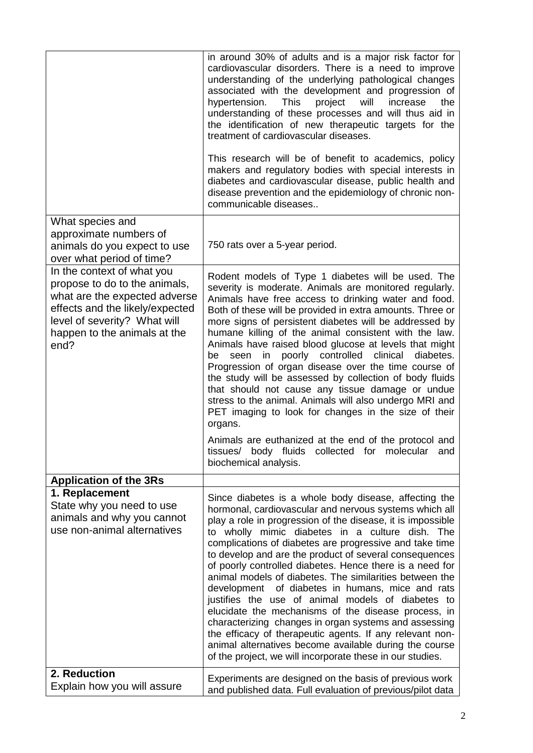|                                                                                                                                                                                                         | in around 30% of adults and is a major risk factor for<br>cardiovascular disorders. There is a need to improve<br>understanding of the underlying pathological changes<br>associated with the development and progression of<br>will<br>hypertension.<br>This<br>project<br>increase<br>the<br>understanding of these processes and will thus aid in<br>the identification of new therapeutic targets for the<br>treatment of cardiovascular diseases.<br>This research will be of benefit to academics, policy<br>makers and regulatory bodies with special interests in<br>diabetes and cardiovascular disease, public health and<br>disease prevention and the epidemiology of chronic non-<br>communicable diseases                                                                                                                                                                                                     |
|---------------------------------------------------------------------------------------------------------------------------------------------------------------------------------------------------------|-----------------------------------------------------------------------------------------------------------------------------------------------------------------------------------------------------------------------------------------------------------------------------------------------------------------------------------------------------------------------------------------------------------------------------------------------------------------------------------------------------------------------------------------------------------------------------------------------------------------------------------------------------------------------------------------------------------------------------------------------------------------------------------------------------------------------------------------------------------------------------------------------------------------------------|
| What species and<br>approximate numbers of<br>animals do you expect to use<br>over what period of time?                                                                                                 | 750 rats over a 5-year period.                                                                                                                                                                                                                                                                                                                                                                                                                                                                                                                                                                                                                                                                                                                                                                                                                                                                                              |
| In the context of what you<br>propose to do to the animals,<br>what are the expected adverse<br>effects and the likely/expected<br>level of severity? What will<br>happen to the animals at the<br>end? | Rodent models of Type 1 diabetes will be used. The<br>severity is moderate. Animals are monitored regularly.<br>Animals have free access to drinking water and food.<br>Both of these will be provided in extra amounts. Three or<br>more signs of persistent diabetes will be addressed by<br>humane killing of the animal consistent with the law.<br>Animals have raised blood glucose at levels that might<br>poorly controlled<br>clinical<br>in<br>diabetes.<br>seen<br>be<br>Progression of organ disease over the time course of<br>the study will be assessed by collection of body fluids<br>that should not cause any tissue damage or undue<br>stress to the animal. Animals will also undergo MRI and<br>PET imaging to look for changes in the size of their<br>organs.<br>Animals are euthanized at the end of the protocol and<br>tissues/ body fluids collected for molecular and<br>biochemical analysis. |
| <b>Application of the 3Rs</b>                                                                                                                                                                           |                                                                                                                                                                                                                                                                                                                                                                                                                                                                                                                                                                                                                                                                                                                                                                                                                                                                                                                             |
| 1. Replacement<br>State why you need to use<br>animals and why you cannot<br>use non-animal alternatives                                                                                                | Since diabetes is a whole body disease, affecting the<br>hormonal, cardiovascular and nervous systems which all<br>play a role in progression of the disease, it is impossible<br>to wholly mimic diabetes in a culture dish. The<br>complications of diabetes are progressive and take time<br>to develop and are the product of several consequences<br>of poorly controlled diabetes. Hence there is a need for<br>animal models of diabetes. The similarities between the<br>development of diabetes in humans, mice and rats<br>justifies the use of animal models of diabetes to<br>elucidate the mechanisms of the disease process, in<br>characterizing changes in organ systems and assessing<br>the efficacy of therapeutic agents. If any relevant non-<br>animal alternatives become available during the course<br>of the project, we will incorporate these in our studies.                                   |
| 2. Reduction<br>Explain how you will assure                                                                                                                                                             | Experiments are designed on the basis of previous work<br>and published data. Full evaluation of previous/pilot data                                                                                                                                                                                                                                                                                                                                                                                                                                                                                                                                                                                                                                                                                                                                                                                                        |